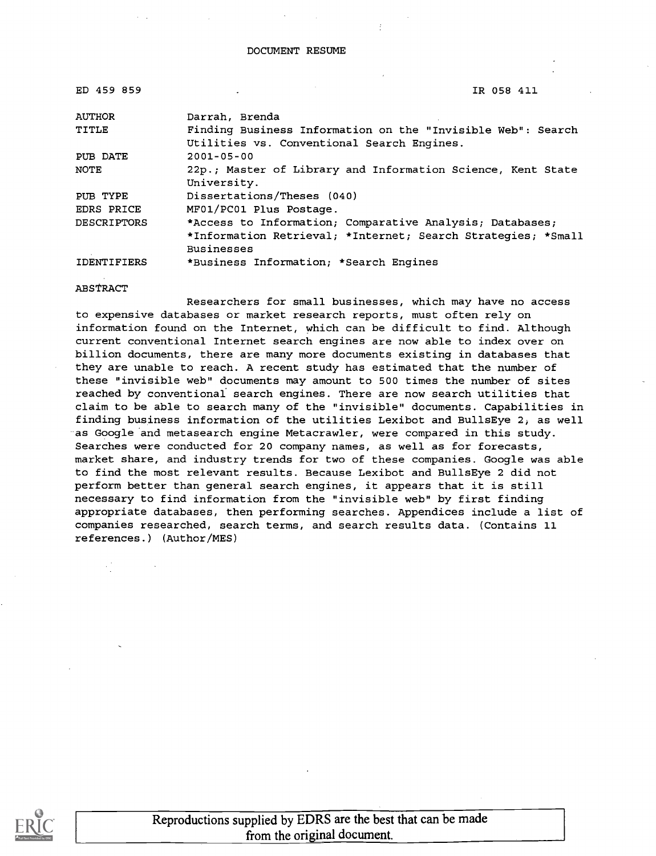| ED 459 859         | IR 058 411                                                   |
|--------------------|--------------------------------------------------------------|
| <b>AUTHOR</b>      | Darrah, Brenda                                               |
| TITLE              | Finding Business Information on the "Invisible Web": Search  |
|                    | Utilities vs. Conventional Search Engines.                   |
| PUB DATE           | $2001 - 05 - 00$                                             |
| NOTE               | 22p.; Master of Library and Information Science, Kent State  |
|                    | University.                                                  |
| PUB TYPE           | Dissertations/Theses (040)                                   |
| EDRS PRICE         | MF01/PC01 Plus Postage.                                      |
| <b>DESCRIPTORS</b> | *Access to Information; Comparative Analysis; Databases;     |
|                    | *Information Retrieval; *Internet; Search Strategies; *Small |
|                    | <b>Businesses</b>                                            |
| <b>IDENTIFIERS</b> | *Business Information; *Search Engines                       |

#### ABSTRACT

Researchers for small businesses, which may have no access to expensive databases or market research reports, must often rely on information found on the Internet, which can be difficult to find. Although current conventional Internet search engines are now able to index over on billion documents, there are many more documents existing in databases that they are unable to reach. A recent study has estimated that the number of these "invisible web" documents may amount to 500 times the number of sites reached by conventional search engines. There are now search utilities that claim to be able to search many of the "invisible" documents. Capabilities in finding business information of the utilities Lexibot and BullsEye 2, as well as Google and metasearch engine Metacrawler, were compared in this study. Searches were conducted for 20 company names, as well as for forecasts, market share, and industry trends for two of these companies. Google was able to find the most relevant results. Because Lexibot and BullsEye 2 did not perform better than general search engines, it appears that it is still necessary to find information from the "invisible web" by first finding appropriate databases, then performing searches. Appendices include a list of companies researched, search terms, and search results data. (Contains 11 references.) (Author/MES)



Reproductions supplied by EDRS are the best that can be made from the original document.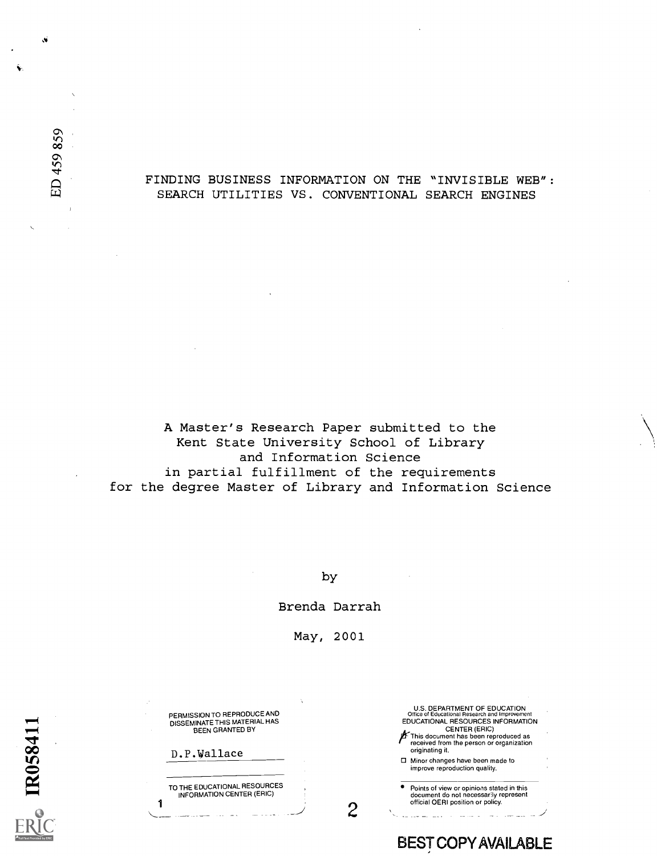#### FINDING BUSINESS INFORMATION ON THE "INVISIBLE WEB": SEARCH UTILITIES VS. CONVENTIONAL SEARCH ENGINES

A Master's Research Paper submitted to the Kent State University School of Library and Information Science in partial fulfillment of the requirements for the degree Master of Library and Information Science

by

Brenda Darrah

May, 2001

 $2 \leftarrow$ 

U.S. DEPARTMENT OF EDUCATION Office of Educational Research and Improvement EDUCATIONAL RESOURCES INFORMATION

Points of view or opinions stated in this document do not necessarily represent

BESTCOPYAVAILABLE

CENTER (ERIC)  $\mu$  This document has been reproduced as<br>received from the person or organization

0 Minor changes have been made to improve reproduction quality.

official OERI position or policy.

originating it.

PERMISSION TO REPRODUCE AND DISSEMINATE THIS MATERIAL HAS BEEN GRANTED BY

D.P.Wallace

1

TO THE EDUCATIONAL RESOURCES INFORMATION CENTER (ERIC)

|  | ٦<br>۷<br>∞<br>n<br>⊂<br>$\mathbf{B}$ | ◄<br>◄<br>4 | ۴ |  |
|--|---------------------------------------|-------------|---|--|
|  |                                       |             |   |  |

Full Text Provided by ERIC

ED 459 859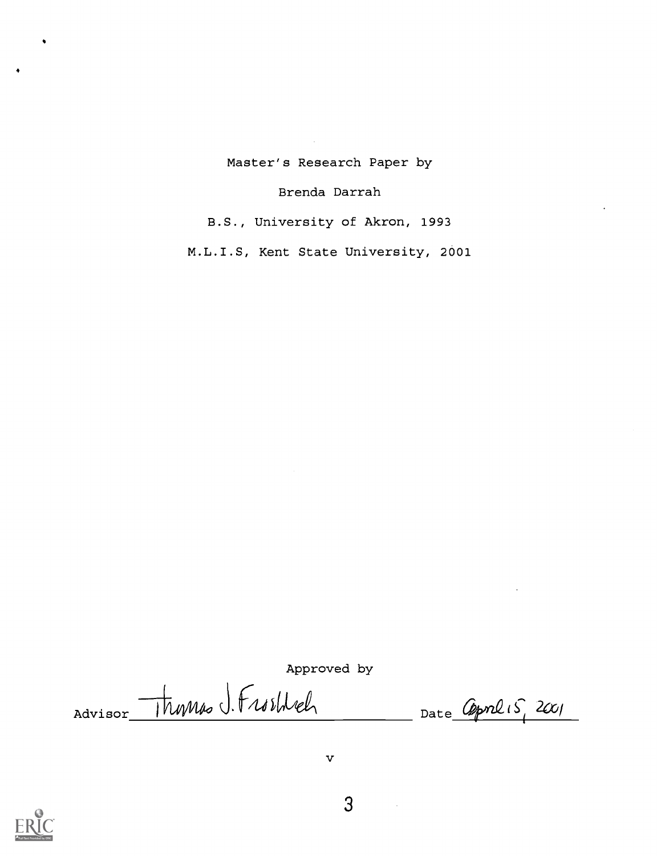Master's Research Paper by

Brenda Darrah

B.S., University of Akron, 1993

M.L.I.S, Kent State University, 2001

Approved by

Advisor Thumas J. Frosthel



3

 $\bar{\textbf{v}}$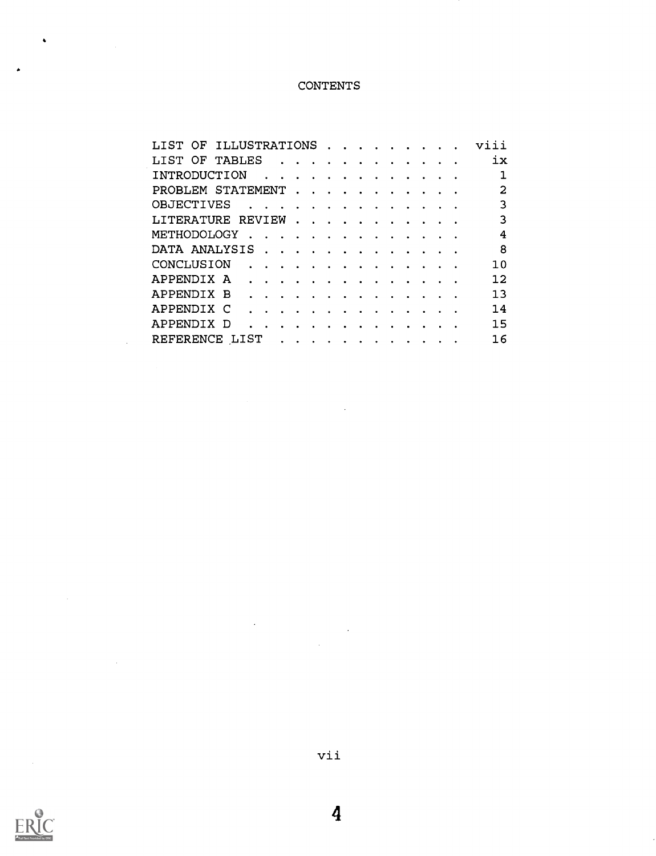## CONTENTS

| LIST OF ILLUSTRATIONS |                                                     |          |  |  |                                                                                                                                                                                                                                   |  |  | viii              |
|-----------------------|-----------------------------------------------------|----------|--|--|-----------------------------------------------------------------------------------------------------------------------------------------------------------------------------------------------------------------------------------|--|--|-------------------|
| LIST OF TABLES        |                                                     |          |  |  |                                                                                                                                                                                                                                   |  |  | 1x                |
| INTRODUCTION          |                                                     |          |  |  |                                                                                                                                                                                                                                   |  |  |                   |
| PROBLEM STATEMENT     |                                                     |          |  |  |                                                                                                                                                                                                                                   |  |  | 2                 |
| OBJECTIVES            | <u>.</u>                                            |          |  |  |                                                                                                                                                                                                                                   |  |  | 3                 |
| LITERATURE REVIEW     |                                                     |          |  |  |                                                                                                                                                                                                                                   |  |  | 3                 |
| METHODOLOGY           |                                                     |          |  |  |                                                                                                                                                                                                                                   |  |  | 4                 |
| DATA ANALYSIS         |                                                     |          |  |  |                                                                                                                                                                                                                                   |  |  | 8                 |
| CONCLUSION            | $\mathcal{A}$ . The set of the set of $\mathcal{A}$ |          |  |  |                                                                                                                                                                                                                                   |  |  | 10                |
| APPENDIX A            | .                                                   |          |  |  |                                                                                                                                                                                                                                   |  |  | $12 \overline{ }$ |
| APPENDIX B            |                                                     | .        |  |  |                                                                                                                                                                                                                                   |  |  | 13                |
| APPENDIX C            |                                                     |          |  |  | $\mathbf{r}$ . The set of the set of the set of the set of the set of the set of the set of the set of the set of the set of the set of the set of the set of the set of the set of the set of the set of the set of the set of t |  |  | 14                |
| APPENDIX D            |                                                     | <u>.</u> |  |  |                                                                                                                                                                                                                                   |  |  | 15                |
| REFERENCE LIST        |                                                     |          |  |  |                                                                                                                                                                                                                                   |  |  | 16                |



 $\hat{\bullet}$ 

vii

 $\sim 10$ 

 $\hat{\mathcal{L}}$ 

4

 $\ddot{\phantom{a}}$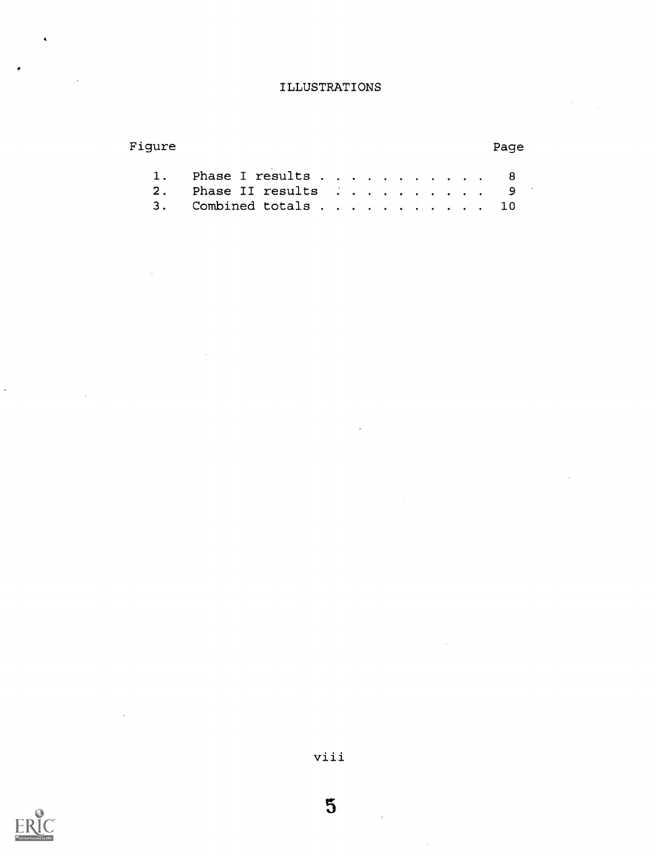## ILLUSTRATIONS

| 1. Phase I results 8  |  |  |  |  |  |  |
|-----------------------|--|--|--|--|--|--|
| 2. Phase II results 9 |  |  |  |  |  |  |
| 3. Combined totals 10 |  |  |  |  |  |  |

Figure Page



viii

5

 $\overline{\phantom{a}}$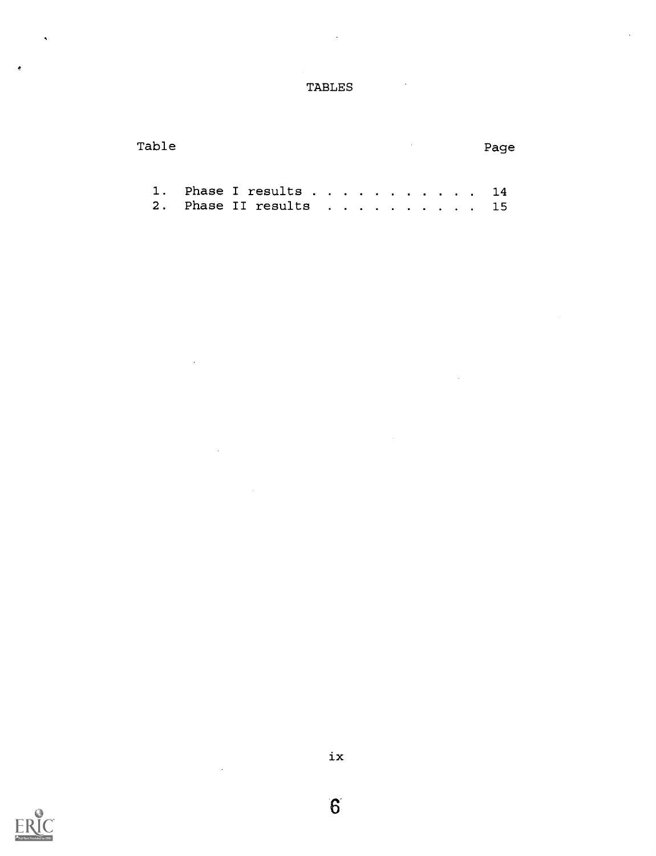## TABLES

| Table |  |                        |  |  |  |  |  | Page |  |
|-------|--|------------------------|--|--|--|--|--|------|--|
|       |  |                        |  |  |  |  |  |      |  |
|       |  | 1. Phase I results 14  |  |  |  |  |  |      |  |
|       |  | 2. Phase II results 15 |  |  |  |  |  |      |  |

 $\ddot{\phantom{a}}$ 

 $\ddot{\phantom{a}}$ 



 $\ddot{\phantom{1}}$ 

ė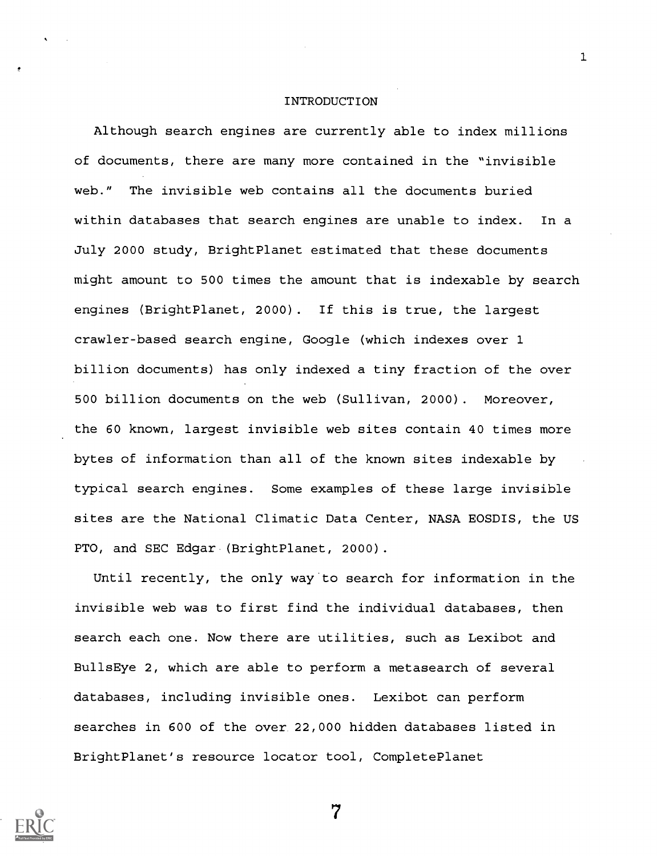#### INTRODUCTION

1

Although search engines are currently able to index millions of documents, there are many more contained in the "invisible web." The invisible web contains all the documents buried within databases that search engines are unable to index. In a July 2000 study, BrightPlanet estimated that these documents might amount to 500 times the amount that is indexable by search engines (BrightPlanet, 2000) . If this is true, the largest crawler-based search engine, Google (which indexes over 1 billion documents) has only indexed a tiny fraction of the over 500 billion documents on the web (Sullivan, 2000). Moreover, the 60 known, largest invisible web sites contain 40 times more bytes of information than all of the known sites indexable by typical search engines. Some examples of these large invisible sites are the National Climatic Data Center, NASA EOSDIS, the US PTO, and SEC Edgar (BrightPlanet, 2000).

Until recently, the only way to search for information in the invisible web was to first find the individual databases, then search each one. Now there are utilities, such as Lexibot and BullsEye 2, which are able to perform a metasearch of several databases, including invisible ones. Lexibot can perform searches in 600 of the over 22,000 hidden databases listed in BrightPlanet's resource locator tool, CompletePlanet

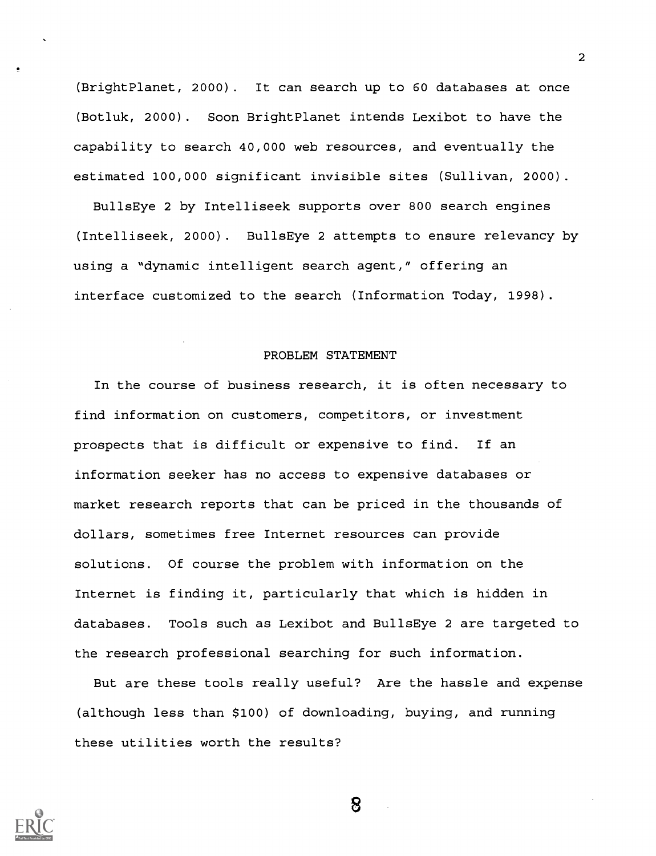(BrightPlanet, 2000). It can search up to 60 databases at once (Botluk, 2000). Soon BrightPlanet intends Lexibot to have the capability to search 40,000 web resources, and eventually the estimated 100,000 significant invisible sites (Sullivan, 2000).

BullsEye 2 by Intelliseek supports over 800 search engines (Intelliseek, 2000). BullsEye 2 attempts to ensure relevancy by using a "dynamic intelligent search agent," offering an interface customized to the search (Information Today, 1998).

#### PROBLEM STATEMENT

In the course of business research, it is often necessary to find information on customers, competitors, or investment prospects that is difficult or expensive to find. If an information seeker has no access to expensive databases or market research reports that can be priced in the thousands of dollars, sometimes free Internet resources can provide solutions. Of course the problem with information on the Internet is finding it, particularly that which is hidden in databases. Tools such as Lexibot and BullsEye 2 are targeted to the research professional searching for such information.

But are these tools really useful? Are the hassle and expense (although less than \$100) of downloading, buying, and running these utilities worth the results?



2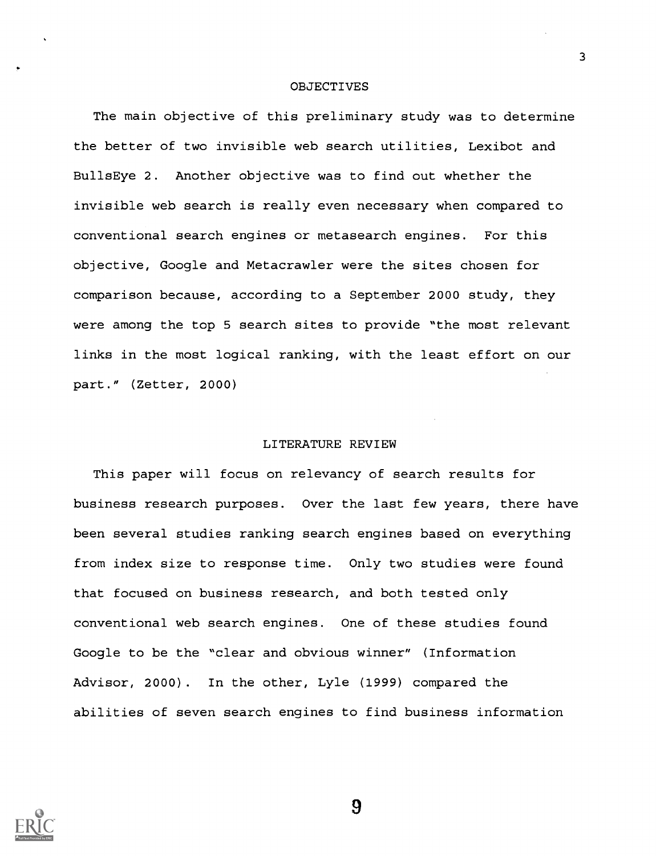#### **OBJECTIVES**

The main objective of this preliminary study was to determine the better of two invisible web search utilities, Lexibot and BullsEye 2. Another objective was to find out whether the invisible web search is really even necessary when compared to conventional search engines or metasearch engines. For this objective, Google and Metacrawler were the sites chosen for comparison because, according to a September 2000 study, they were among the top 5 search sites to provide "the most relevant links in the most logical ranking, with the least effort on our part." (Zetter, 2000)

#### LITERATURE REVIEW

This paper will focus on relevancy of search results for business research purposes. Over the last few years, there have been several studies ranking search engines based on everything from index size to response time. Only two studies were found that focused on business research, and both tested only conventional web search engines. One of these studies found Google to be the "clear and obvious winner" (Information Advisor, 2000). In the other, Lyle (1999) compared the abilities of seven search engines to find business information



9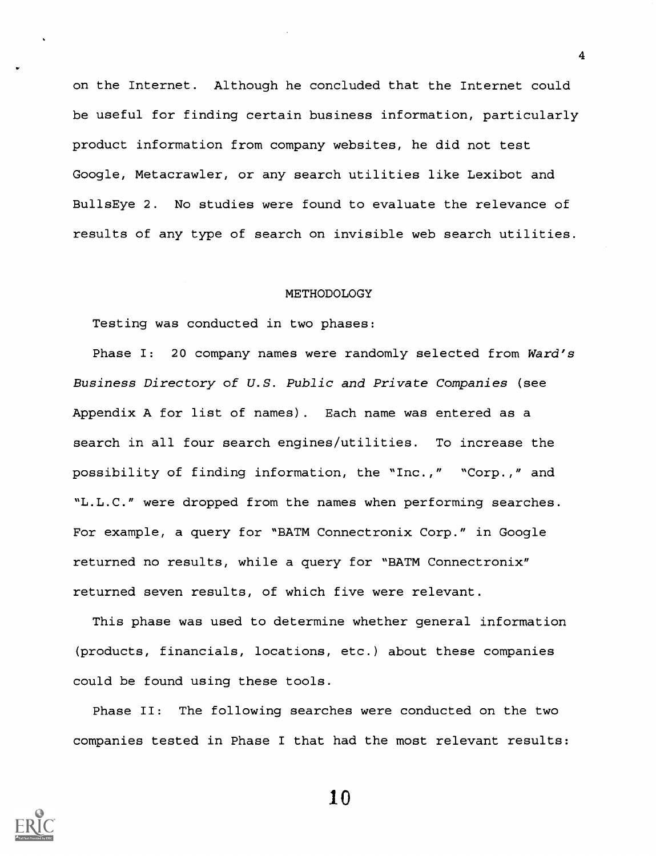on the Internet. Although he concluded that the Internet could be useful for finding certain business information, particularly product information from company websites, he did not test Google, Metacrawler, or any search utilities like Lexibot and BullsEye 2. No studies were found to evaluate the relevance of results of any type of search on invisible web search utilities.

#### METHODOLOGY

Testing was conducted in two phases:

Phase I: 20 company names were randomly selected from Ward's Business Directory of U.S. Public and Private Companies (see Appendix A for list of names) . Each name was entered as a search in all four search engines/utilities. To increase the possibility of finding information, the "Inc.," "Corp.," and "L.L.C." were dropped from the names when performing searches. For example, a query for "BATM Connectronix Corp." in Google returned no results, while a query for "BATM Connectronix" returned seven results, of which five were relevant.

This phase was used to determine whether general information (products, financials, locations, etc.) about these companies could be found using these tools.

Phase II: The following searches were conducted on the two companies tested in Phase I that had the most relevant results:



10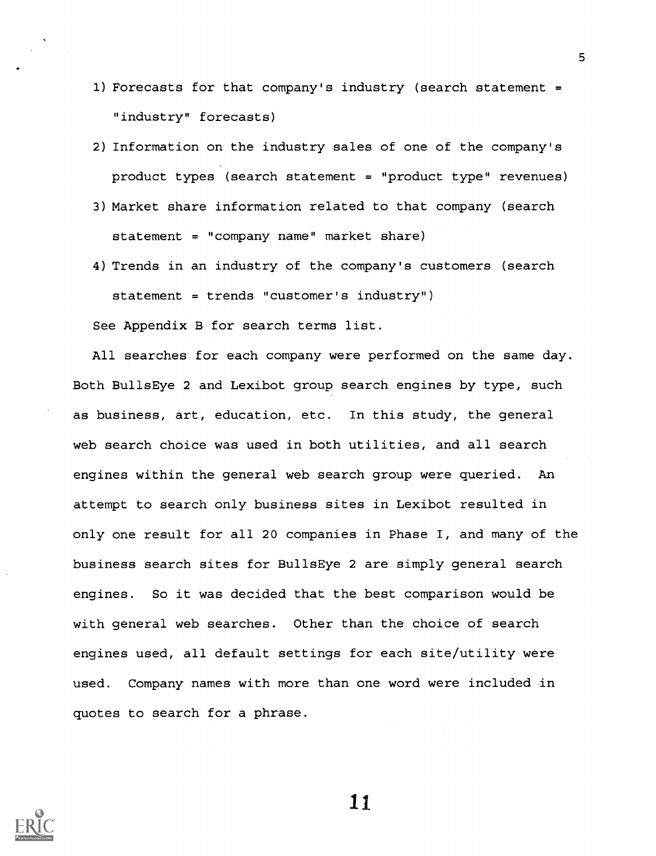- 1) Forecasts for that company's industry (search statement = "industry" forecasts)
- 2) Information on the industry sales of one of the company's product types (search statement = "product type" revenues)
- 3) Market share information related to that company (search statement = "company name" market share)
- 4) Trends in an industry of the company's customers (search statement = trends "customer's industry")

See Appendix B for search terms list.

All searches for each company were performed on the same day. Both BullsEye 2 and Lexibot group search engines by type, such as business, art, education, etc. In this study, the general web search choice was used in both utilities, and all search engines within the general web search group were queried. An attempt to search only business sites in Lexibot resulted in only one result for all 20 companies in Phase I, and many of the business search sites for BullsEye 2 are simply general search engines. So it was decided that the best comparison would be with general web searches. Other than the choice of search engines used, all default settings for each site/utility were used. Company names with more than one word were included in quotes to search for a phrase.



11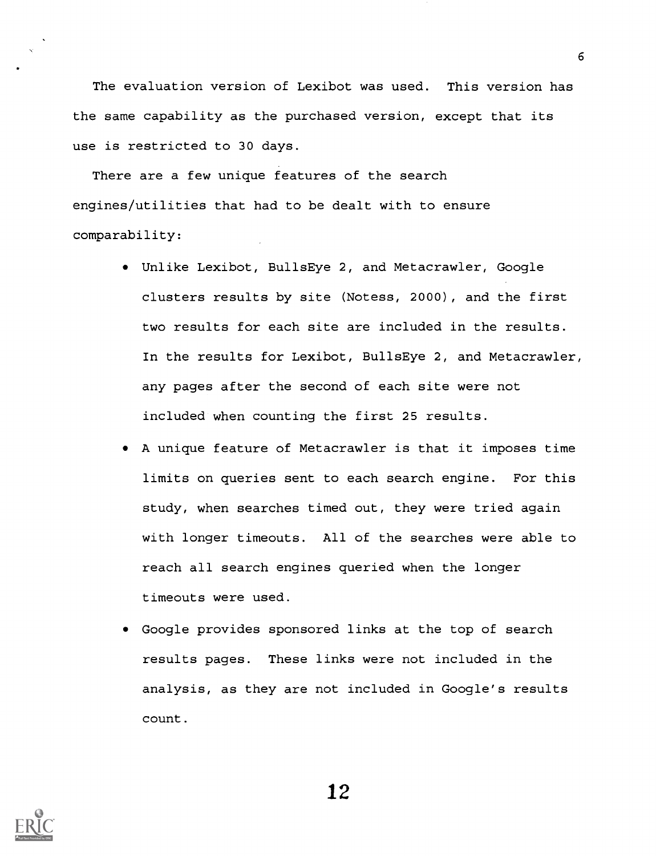The evaluation version of Lexibot was used. This version has the same capability as the purchased version, except that its use is restricted to 30 days.

There are a few unique features of the search engines/utilities that had to be dealt with to ensure comparability:

- Unlike Lexibot, BullsEye 2, and Metacrawler, Google clusters results by site (Notess, 2000) , and the first two results for each site are included in the results. In the results for Lexibot, BullsEye 2, and Metacrawler, any pages after the second of each site were not included when counting the first 25 results.
- A unique feature of Metacrawler is that it imposes time limits on queries sent to each search engine. For this study, when searches timed out, they were tried again with longer timeouts. All of the searches were able to reach all search engines queried when the longer timeouts were used.
- Google provides sponsored links at the top of search results pages. These links were not included in the analysis, as they are not included in Google's results count.

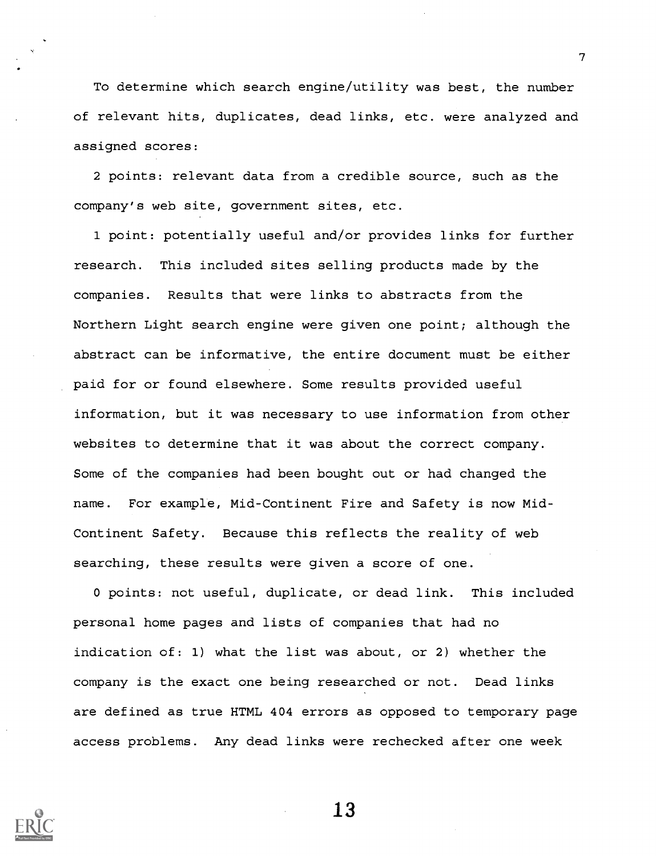To determine which search engine/utility was best, the number of relevant hits, duplicates, dead links, etc. were analyzed and assigned scores:

2 points: relevant data from a credible source, such as the company's web site, government sites, etc.

1 point: potentially useful and/or provides links for further research. This included sites selling products made by the companies. Results that were links to abstracts from the Northern Light search engine were given one point; although the abstract can be informative, the entire document must be either paid for or found elsewhere. Some results provided useful information, but it was necessary to use information from other websites to determine that it was about the correct company. Some of the companies had been bought out or had changed the name. For example, Mid-Continent Fire and Safety is now Mid-Continent Safety. Because this reflects the reality of web searching, these results were given a score of one.

0 points: not useful, duplicate, or dead link. This included personal home pages and lists of companies that had no indication of: 1) what the list was about, or 2) whether the company is the exact one being researched or not. Dead links are defined as true HTML 404 errors as opposed to temporary page access problems. Any dead links were rechecked after one week



13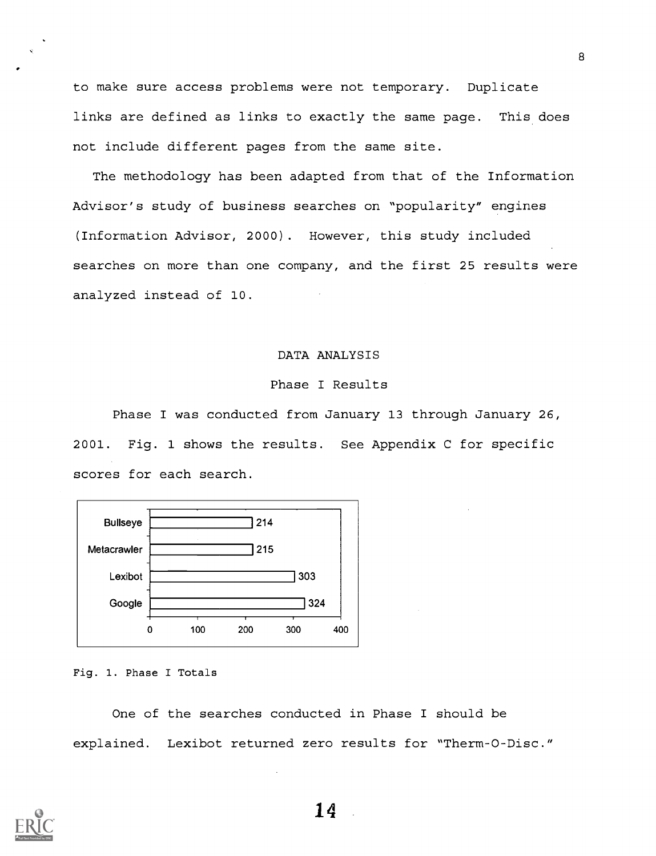to make sure access problems were not temporary. Duplicate links are defined as links to exactly the same page. This does not include different pages from the same site.

The methodology has been adapted from that of the Information Advisor's study of business searches on "popularity" engines (Information Advisor, 2000). However, this study included searches on more than one company, and the first 25 results were analyzed instead of 10.

#### DATA ANALYSIS

#### Phase I Results

Phase I was conducted from January 13 through January 26, 2001. Fig. 1 shows the results. See Appendix C for specific scores for each search.



Fig. 1. Phase I Totals

One of the searches conducted in Phase I should be explained. Lexibot returned zero results for "Therm-O-Disc."



14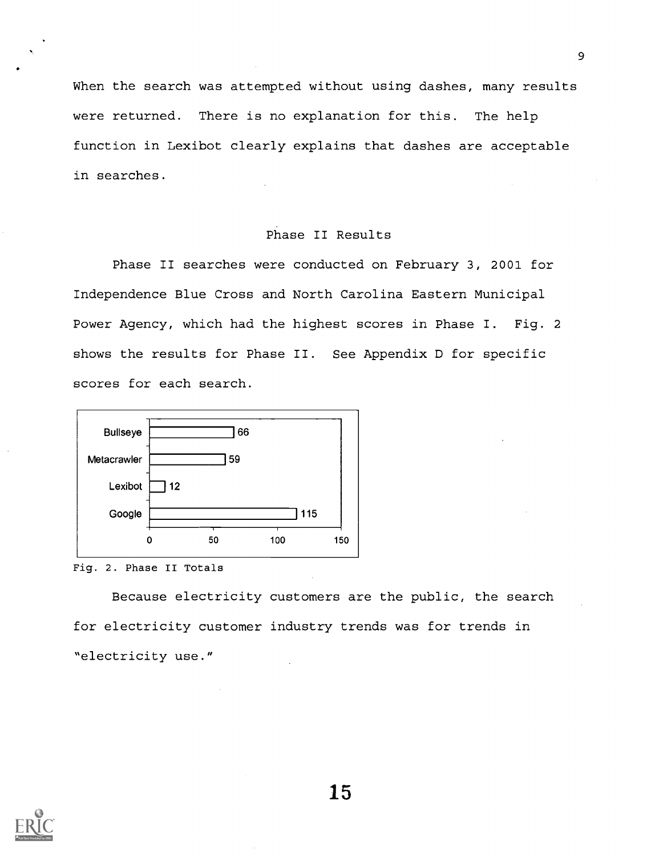When the search was attempted without using dashes, many results were returned. There is no explanation for this. The help function in Lexibot clearly explains that dashes are acceptable in searches.

#### Phase II Results

Phase II searches were conducted on February 3, 2001 for Independence Blue Cross and North Carolina Eastern Municipal Power Agency, which had the highest scores in Phase I. Fig. 2 shows the results for Phase II. See Appendix D for specific scores for each search.



Fig. 2. Phase II Totals

Because electricity customers are the public, the search for electricity customer industry trends was for trends in "electricity use."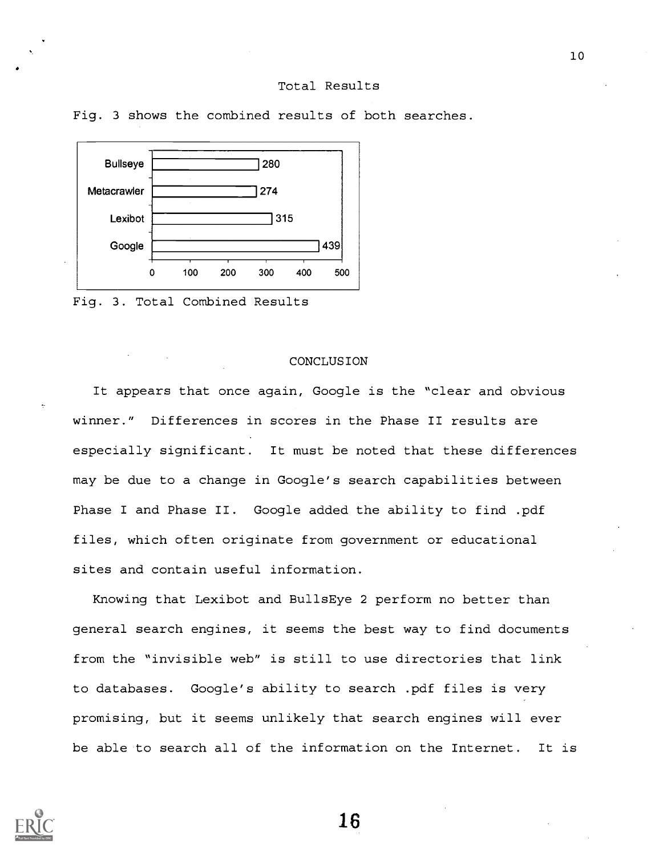#### Total Results



Fig. 3 shows the combined results of both searches.

Fig. 3. Total Combined Results

#### CONCLUSION

It appears that once again, Google is the "clear and obvious winner." Differences in scores in the Phase II results are especially significant. It must be noted that these differences may be due to a change in Google's search capabilities between Phase I and Phase II. Google added the ability to find .pdf files, which often originate from government or educational sites and contain useful information.

Knowing that Lexibot and BullsEye 2 perform no better than general search engines, it seems the best way to find documents from the "invisible web" is still to use directories that link to databases. Google's ability to search .pdf files is very promising, but it seems unlikely that search engines will ever be able to search all of the information on the Internet. It is

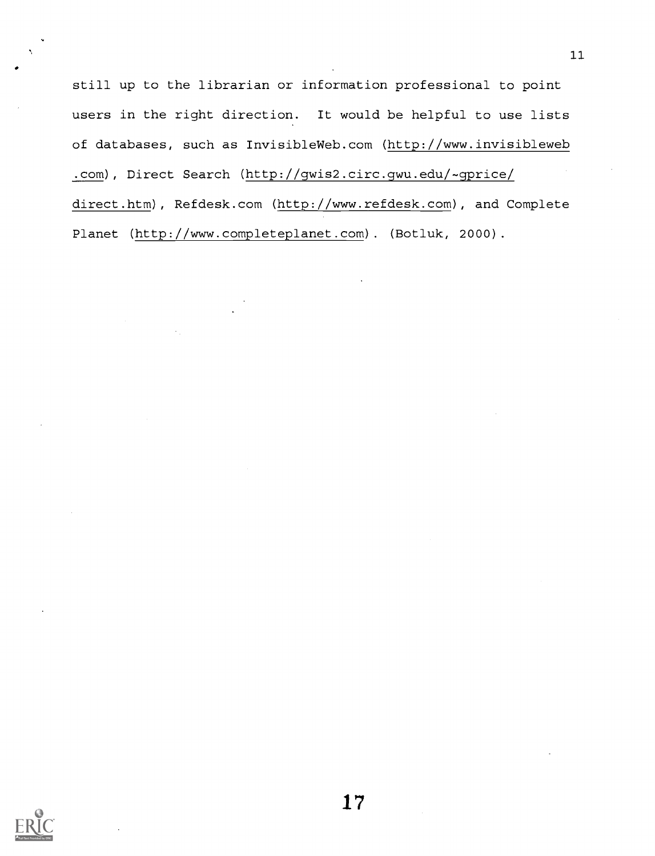still up to the librarian or information professional to point users in the right direction. It would be helpful to use lists of databases, such as InvisibleWeb.com (http://www.invisibleweb .com), Direct Search (http://gwis2.circ.gwu.edu/-gprice/ direct.htm), Refdesk.com (http://www.refdesk.com), and Complete Planet (http://www.completeplanet.com) . (Botluk, 2000).

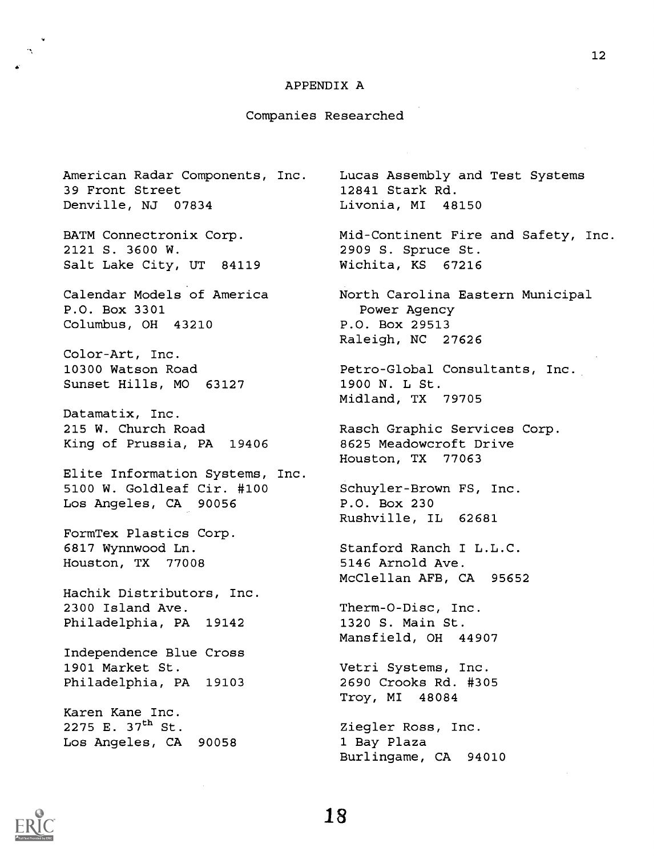#### APPENDIX A

#### Companies Researched

American Radar Components, Inc. 39 Front Street Denville, NJ 07834

BATM Connectronix Corp. 2121 S. 3600 W. Salt Lake City, UT 84119

Calendar Models of America P.O. Box 3301 Columbus, OH 43210

Color-Art, Inc. 10300 Watson Road Sunset Hills, MO 63127

Datamatix, Inc. 215 W. Church Road King of Prussia, PA 19406

Elite Information Systems, Inc. 5100 W. Goldleaf Cir. #100 Los Angeles, CA 90056

FormTex Plastics Corp. 6817 Wynnwood Ln. Houston, TX 77008

Hachik Distributors, Inc. 2300 Island Ave. Philadelphia, PA 19142

Independence Blue Cross 1901 Market St. Philadelphia, PA 19103

Karen Kane Inc. 2275 E.  $37^{th}$  St. Los Angeles, CA 90058 Lucas Assembly and Test Systems 12841 Stark Rd. Livonia, MI 48150

Mid-Continent Fire and Safety, Inc. 2909 S. Spruce St. Wichita, KS 67216

North Carolina Eastern Municipal Power Agency P.O. Box 29513 Raleigh, NC 27626

Petro-Global Consultants, Inc. 1900 N. L St. Midland, TX 79705

Rasch Graphic Services Corp. 8625 Meadowcroft Drive Houston, TX 77063

Schuyler-Brown FS, Inc. P.O. Box 230 Rushville, IL 62681

Stanford Ranch I L.L.C. 5146 Arnold Ave. McClellan AFB, CA 95652

Therm-O-Disc, Inc. 1320 S. Main St. Mansfield, OH 44907

Vetri Systems, Inc. 2690 Crooks Rd. #305 Troy, MI 48084

Ziegler Ross, Inc. 1 Bay Plaza Burlingame, CA 94010

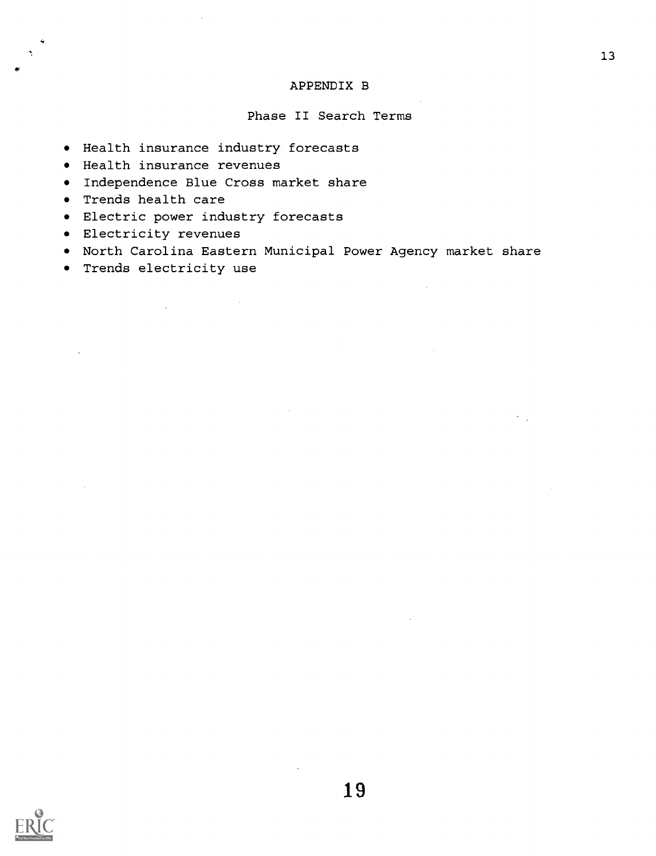#### APPENDIX B

#### Phase II Search Terms

- Health insurance industry forecasts
- Health insurance revenues
- Independence Blue Cross market share
- Trends health care
- Electric power industry forecasts
- Electricity revenues
- North Carolina Eastern Municipal Power Agency market share
- Trends electricity use

 $\sim$ 

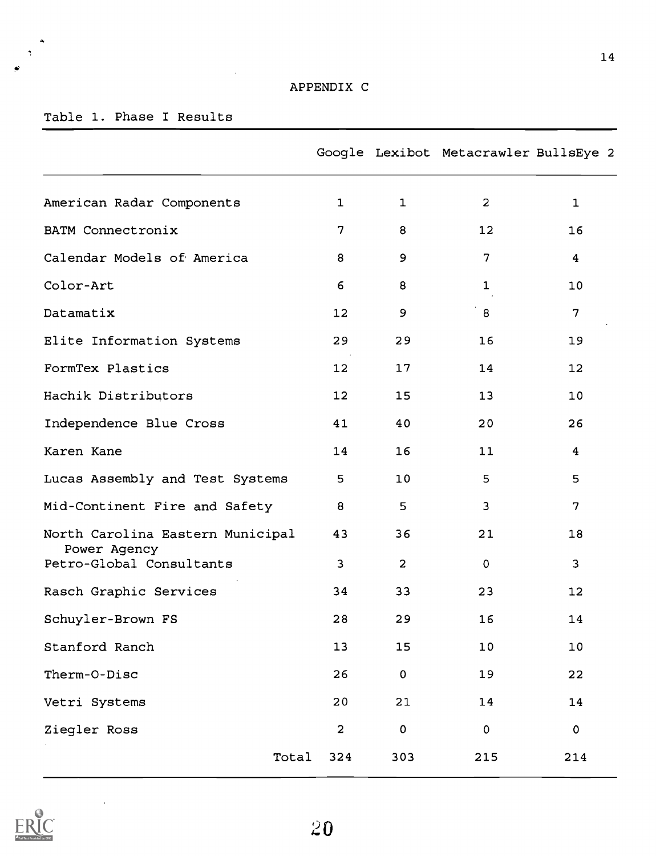$\bar{z}$ 

## Table 1. Phase I Results

 $\dot{\mathbf{a}}$  $\tilde{\mathcal{A}}$ 

|                                                  |                         |                | Google Lexibot Metacrawler BullsEye 2 |                         |
|--------------------------------------------------|-------------------------|----------------|---------------------------------------|-------------------------|
| American Radar Components                        | $\mathbf{1}$            | $\mathbf{1}$   | $\overline{a}$                        | 1                       |
| BATM Connectronix                                | $\overline{7}$          | 8              | 12                                    | 16                      |
| Calendar Models of America                       | 8                       | 9              | 7                                     | $\overline{\mathbf{4}}$ |
| Color-Art                                        | 6                       | 8              | $\mathbf{1}$                          | 10                      |
| Datamatix                                        | 12                      | 9              | 8                                     | 7                       |
| Elite Information Systems                        | 29                      | 29             | 16                                    | 19                      |
| FormTex Plastics                                 | 12                      | 17             | 14                                    | 12                      |
| Hachik Distributors                              | 12                      | 15             | 13                                    | 10                      |
| Independence Blue Cross                          | 41                      | 40             | 20                                    | 26                      |
| Karen Kane                                       | 14                      | 16             | 11                                    | $\overline{\mathbf{4}}$ |
| Lucas Assembly and Test Systems                  | 5                       | 10             | 5                                     | 5                       |
| Mid-Continent Fire and Safety                    | 8                       | 5              | $\overline{3}$                        | $\overline{7}$          |
| North Carolina Eastern Municipal<br>Power Agency | 43                      | 36             | 21                                    | 18                      |
| Petro-Global Consultants                         | $\overline{\mathbf{3}}$ | $\overline{a}$ | $\mathbf 0$                           | 3                       |
| Rasch Graphic Services                           | 34                      | 33             | 23                                    | 12                      |
| Schuyler-Brown FS                                | 28                      | 29             | 16                                    | 14                      |
| Stanford Ranch                                   | 13                      | 15             | $10$                                  | 10                      |
| Therm-O-Disc                                     | 26                      | 0              | 19                                    | 22                      |
| Vetri Systems                                    | 20                      | 21             | 14                                    | 14                      |
| Ziegler Ross                                     | $\overline{a}$          | $\pmb{0}$      | $\pmb{0}$                             | $\pmb{\mathsf{O}}$      |
| Total                                            | 324                     | 303            | 215                                   | 214                     |



 $\overline{\phantom{a}}$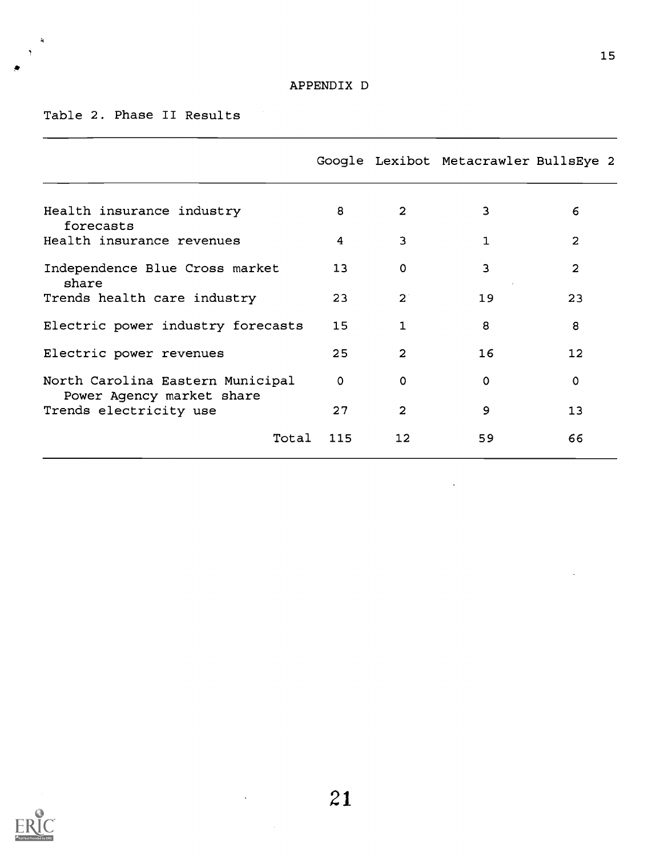### Table 2. Phase II Results

 $\ddot{\phantom{1}}$ 

|                                                               |             |                   | Google Lexibot Metacrawler BullsEye 2 |                |
|---------------------------------------------------------------|-------------|-------------------|---------------------------------------|----------------|
|                                                               |             |                   |                                       |                |
| Health insurance industry<br>forecasts                        | 8           | $\overline{2}$    | 3                                     | 6              |
| Health insurance revenues                                     | 4           | 3                 | 1.                                    | 2              |
| Independence Blue Cross market<br>share                       | 13          | $\mathbf 0$       | 3                                     | $\overline{2}$ |
| Trends health care industry                                   | 23          | $2^{\degree}$     | 19                                    | 23             |
| Electric power industry forecasts                             | 15          | $\mathbf{1}$      | 8                                     | 8              |
| Electric power revenues                                       | 25          | $\overline{2}$    | 16                                    | 12             |
| North Carolina Eastern Municipal<br>Power Agency market share | $\mathbf 0$ | $\Omega$          | $\Omega$                              | 0              |
| Trends electricity use                                        | 27          | $\overline{2}$    | 9                                     | 13             |
| Total                                                         | 115         | $12 \overline{ }$ | 59                                    | 66             |
|                                                               |             |                   |                                       |                |

 $\ddot{\phantom{0}}$ 



 $\sim 10^7$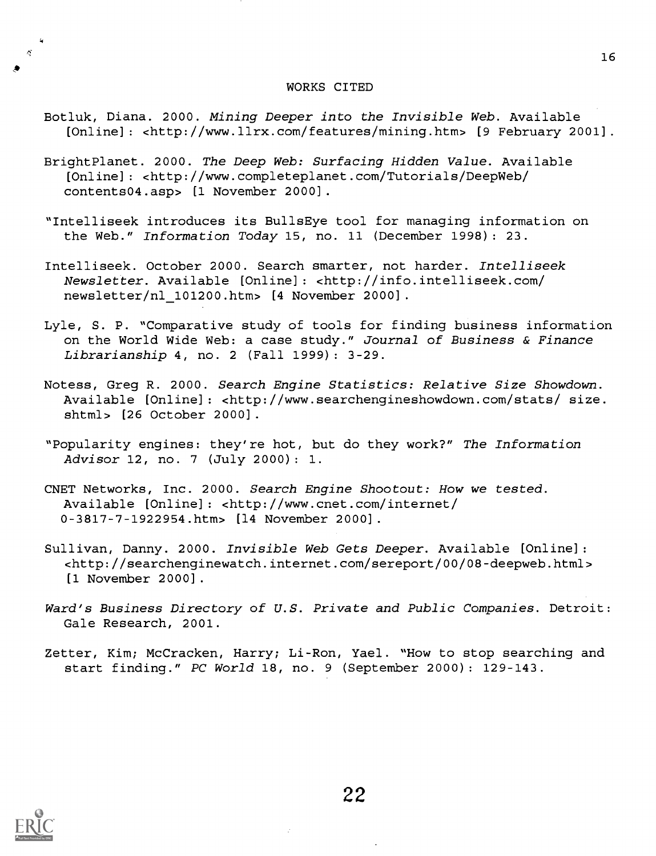#### WORKS CITED

- Botluk, Diana. 2000. Mining Deeper into the Invisible Web. Available [Online]: <http://www.llrx.com/features/mining.htm> [9 February 2001].
- BrightPlanet. 2000. The Deep Web: Surfacing Hidden Value. Available [Online] : <http://www.completeplanet.com/Tutorials/DeepWeb/ contents04.asp> [1 November 2000].
- "Intelliseek introduces its BullsEye tool for managing information on the Web." Information Today 15, no. 11 (December 1998): 23.
- Intelliseek. October 2000. Search smarter, not harder. Intelliseek Newsletter. Available [Online] : <http://info.intelliseek.com/ newsletter/nl 101200.htm> [4 November 2000].
- Lyle, S. P. "Comparative study of tools for finding business information on the World Wide Web: a case study." Journal of Business & Finance Librarianship 4, no. 2 (Fall 1999) : 3-29.
- Notess, Greg R. 2000. Search Engine Statistics: Relative Size Showdown. Available [Online] : <http://www.searchengineshowdown.com/stats/ size. shtml> [26 October 2000].
- "Popularity engines: they're hot, but do they work?" The Information Advisor 12, no. 7 (July 2000) : 1.
- CNET Networks, Inc. 2000. Search Engine Shootout: How we tested. Available [Online] : <http://www.cnet.com/internet/ 0-3817-7-1922954.htm> [14 November 2000].
- Sullivan, Danny. 2000. Invisible Web Gets Deeper. Available [Online]: <http://searchenginewatch.internet.com/sereport/00/08-deepweb.html> [1 November 2000].
- Ward's Business Directory of U.S. Private and Public Companies. Detroit: Gale Research, 2001.
- Zetter, Kim; McCracken, Harry; Li-Ron, Yael. "How to stop searching and start finding." PC World 18, no. 9 (September 2000) : 129-143.



 $\bullet$  and the set of  $\bullet$